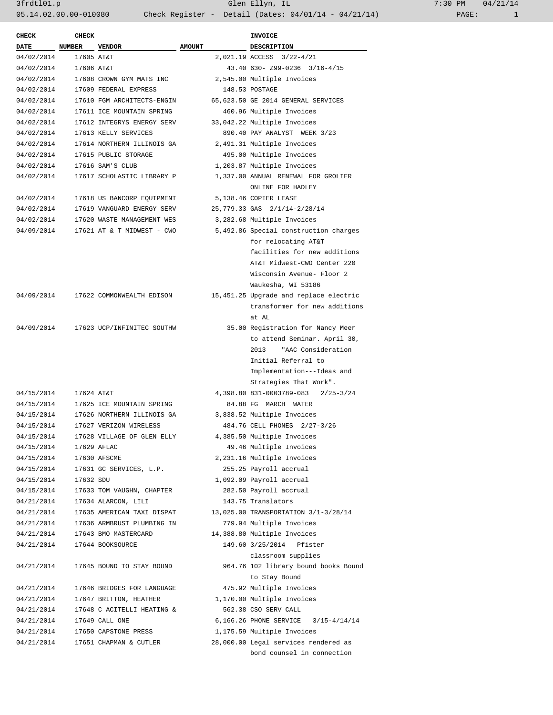3frdtl01.p Glen Ellyn, IL 7:30 PM 04/21/14 05.14.02.00.00-010080 Check Register - Detail (Dates: 04/01/14 - 04/21/14)

| <b>CHECK</b> | <b>CHECK</b>  |                                      |               | <b>INVOICE</b>                            |
|--------------|---------------|--------------------------------------|---------------|-------------------------------------------|
| <b>DATE</b>  | <b>NUMBER</b> | <b>VENDOR</b>                        | <b>AMOUNT</b> | <b>DESCRIPTION</b>                        |
| 04/02/2014   | 17605 AT&T    |                                      |               | 2,021.19 ACCESS 3/22-4/21                 |
| 04/02/2014   | 17606 AT&T    |                                      |               | 43.40 630- Z99-0236 3/16-4/15             |
| 04/02/2014   |               | 17608 CROWN GYM MATS INC             |               | 2,545.00 Multiple Invoices                |
| 04/02/2014   |               | 17609 FEDERAL EXPRESS                |               | 148.53 POSTAGE                            |
| 04/02/2014   |               | 17610 FGM ARCHITECTS-ENGIN           |               | 65,623.50 GE 2014 GENERAL SERVICES        |
| 04/02/2014   |               | 17611 ICE MOUNTAIN SPRING            |               | 460.96 Multiple Invoices                  |
| 04/02/2014   |               | 17612 INTEGRYS ENERGY SERV           |               | 33,042.22 Multiple Invoices               |
| 04/02/2014   |               | 17613 KELLY SERVICES                 |               | 890.40 PAY ANALYST WEEK 3/23              |
| 04/02/2014   |               | 17614 NORTHERN ILLINOIS GA           |               | 2,491.31 Multiple Invoices                |
| 04/02/2014   |               | 17615 PUBLIC STORAGE                 |               | 495.00 Multiple Invoices                  |
| 04/02/2014   |               | 17616 SAM'S CLUB                     |               | 1,203.87 Multiple Invoices                |
| 04/02/2014   |               | 17617 SCHOLASTIC LIBRARY P           |               | 1,337.00 ANNUAL RENEWAL FOR GROLIER       |
|              |               |                                      |               | ONLINE FOR HADLEY                         |
| 04/02/2014   |               | 17618 US BANCORP EQUIPMENT           |               | 5,138.46 COPIER LEASE                     |
| 04/02/2014   |               | 17619 VANGUARD ENERGY SERV           |               | 25,779.33 GAS 2/1/14-2/28/14              |
|              |               |                                      |               |                                           |
| 04/02/2014   |               | 17620 WASTE MANAGEMENT WES           |               | 3,282.68 Multiple Invoices                |
| 04/09/2014   |               | 17621 AT & T MIDWEST - CWO           |               | 5,492.86 Special construction charges     |
|              |               |                                      |               | for relocating AT&T                       |
|              |               |                                      |               | facilities for new additions              |
|              |               |                                      |               | AT&T Midwest-CWO Center 220               |
|              |               |                                      |               | Wisconsin Avenue- Floor 2                 |
|              |               |                                      |               | Waukesha, WI 53186                        |
|              |               | 04/09/2014 17622 COMMONWEALTH EDISON |               | 15,451.25 Upgrade and replace electric    |
|              |               |                                      |               | transformer for new additions             |
|              |               |                                      |               | at AL                                     |
| 04/09/2014   |               | 17623 UCP/INFINITEC SOUTHW           |               | 35.00 Registration for Nancy Meer         |
|              |               |                                      |               | to attend Seminar. April 30,              |
|              |               |                                      |               | 2013 "AAC Consideration                   |
|              |               |                                      |               | Initial Referral to                       |
|              |               |                                      |               | Implementation---Ideas and                |
|              |               |                                      |               | Strategies That Work".                    |
| 04/15/2014   | 17624 AT&T    |                                      |               | 4,398.80 831-0003789-083<br>$2/25 - 3/24$ |
| 04/15/2014   |               | 17625 ICE MOUNTAIN SPRING            |               | 84.88 FG MARCH WATER                      |
| 04/15/2014   |               | 17626 NORTHERN ILLINOIS GA           |               | 3,838.52 Multiple Invoices                |
| 04/15/2014   |               | 17627 VERIZON WIRELESS               |               | 484.76 CELL PHONES 2/27-3/26              |
| 04/15/2014   |               | 17628 VILLAGE OF GLEN ELLY           |               | 4,385.50 Multiple Invoices                |
| 04/15/2014   |               | 17629 AFLAC                          |               | 49.46 Multiple Invoices                   |
| 04/15/2014   |               | 17630 AFSCME                         |               | 2,231.16 Multiple Invoices                |
| 04/15/2014   |               | 17631 GC SERVICES, L.P.              |               | 255.25 Payroll accrual                    |
| 04/15/2014   | 17632 SDU     |                                      |               | 1,092.09 Payroll accrual                  |
| 04/15/2014   |               | 17633 TOM VAUGHN, CHAPTER            |               | 282.50 Payroll accrual                    |
| 04/21/2014   |               | 17634 ALARCON, LILI                  |               | 143.75 Translators                        |
| 04/21/2014   |               | 17635 AMERICAN TAXI DISPAT           |               | 13,025.00 TRANSPORTATION 3/1-3/28/14      |
| 04/21/2014   |               | 17636 ARMBRUST PLUMBING IN           |               | 779.94 Multiple Invoices                  |
| 04/21/2014   |               | 17643 BMO MASTERCARD                 |               | 14,388.80 Multiple Invoices               |
| 04/21/2014   |               | 17644 BOOKSOURCE                     |               | 149.60 3/25/2014<br>Pfister               |
|              |               |                                      |               | classroom supplies                        |
| 04/21/2014   |               | 17645 BOUND TO STAY BOUND            |               | 964.76 102 library bound books Bound      |
|              |               |                                      |               | to Stay Bound                             |
| 04/21/2014   |               | 17646 BRIDGES FOR LANGUAGE           |               | 475.92 Multiple Invoices                  |
|              |               |                                      |               |                                           |
| 04/21/2014   |               | 17647 BRITTON, HEATHER               |               | 1,170.00 Multiple Invoices                |
| 04/21/2014   |               | 17648 C ACITELLI HEATING &           |               | 562.38 CSO SERV CALL                      |
| 04/21/2014   |               | 17649 CALL ONE                       |               | 6,166.26 PHONE SERVICE 3/15-4/14/14       |
| 04/21/2014   |               | 17650 CAPSTONE PRESS                 |               | 1,175.59 Multiple Invoices                |
| 04/21/2014   |               | 17651 CHAPMAN & CUTLER               |               | 28,000.00 Legal services rendered as      |
|              |               |                                      |               | bond counsel in connection                |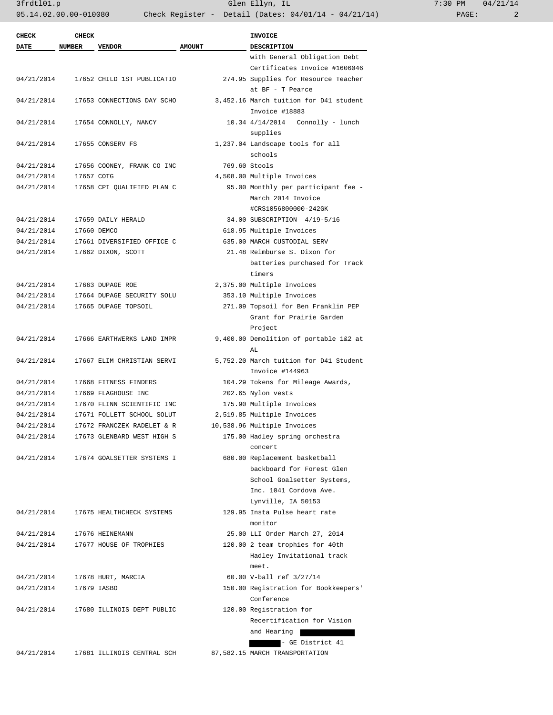$3frdt101.p$  Glen Ellyn, IL 05.14.02.00.00-010080 Check Register - Detail (Dates: 04/01/14 - 04/21/14)

| $7:30$ PM |       | 04/21/14 |
|-----------|-------|----------|
|           | PAGE: | 2        |

| <b>CHECK</b> | <b>CHECK</b>  |                                       |               | <b>INVOICE</b>                         |
|--------------|---------------|---------------------------------------|---------------|----------------------------------------|
| <b>DATE</b>  | <b>NUMBER</b> | <b>VENDOR</b>                         | <b>AMOUNT</b> | DESCRIPTION                            |
|              |               |                                       |               | with General Obligation Debt           |
|              |               |                                       |               | Certificates Invoice #1606046          |
| 04/21/2014   |               | 17652 CHILD 1ST PUBLICATIO            |               | 274.95 Supplies for Resource Teacher   |
|              |               |                                       |               | at BF - T Pearce                       |
| 04/21/2014   |               | 17653 CONNECTIONS DAY SCHO            |               | 3,452.16 March tuition for D41 student |
|              |               |                                       |               | Invoice #18883                         |
| 04/21/2014   |               | 17654 CONNOLLY, NANCY                 |               | 10.34 4/14/2014<br>Connolly - lunch    |
|              |               |                                       |               | supplies                               |
| 04/21/2014   |               | 17655 CONSERV FS                      |               | 1,237.04 Landscape tools for all       |
|              |               |                                       |               | schools                                |
| 04/21/2014   |               | 17656 COONEY, FRANK CO INC            |               | 769.60 Stools                          |
| 04/21/2014   | 17657 COTG    |                                       |               | 4,508.00 Multiple Invoices             |
| 04/21/2014   |               | 17658 CPI QUALIFIED PLAN C            |               | 95.00 Monthly per participant fee -    |
|              |               |                                       |               | March 2014 Invoice                     |
|              |               |                                       |               |                                        |
|              |               |                                       |               | #CRS1056800000-242GK                   |
| 04/21/2014   |               | 17659 DAILY HERALD                    |               | 34.00 SUBSCRIPTION 4/19-5/16           |
| 04/21/2014   |               | 17660 DEMCO                           |               | 618.95 Multiple Invoices               |
| 04/21/2014   |               | 17661 DIVERSIFIED OFFICE C            |               | 635.00 MARCH CUSTODIAL SERV            |
| 04/21/2014   |               | 17662 DIXON, SCOTT                    |               | 21.48 Reimburse S. Dixon for           |
|              |               |                                       |               | batteries purchased for Track          |
|              |               |                                       |               | timers                                 |
| 04/21/2014   |               | 17663 DUPAGE ROE                      |               | 2,375.00 Multiple Invoices             |
| 04/21/2014   |               | 17664 DUPAGE SECURITY SOLU            |               | 353.10 Multiple Invoices               |
| 04/21/2014   |               | 17665 DUPAGE TOPSOIL                  |               | 271.09 Topsoil for Ben Franklin PEP    |
|              |               |                                       |               | Grant for Prairie Garden               |
|              |               |                                       |               | Project                                |
| 04/21/2014   |               | 17666 EARTHWERKS LAND IMPR            |               | 9,400.00 Demolition of portable 1&2 at |
|              |               |                                       |               | AL                                     |
| 04/21/2014   |               | 17667 ELIM CHRISTIAN SERVI            |               | 5,752.20 March tuition for D41 Student |
|              |               |                                       |               | Invoice #144963                        |
| 04/21/2014   |               | 17668 FITNESS FINDERS                 |               | 104.29 Tokens for Mileage Awards,      |
| 04/21/2014   |               | 17669 FLAGHOUSE INC                   |               | 202.65 Nylon vests                     |
| 04/21/2014   |               | 17670 FLINN SCIENTIFIC INC            |               | 175.90 Multiple Invoices               |
| 04/21/2014   |               | 17671 FOLLETT SCHOOL SOLUT            |               | 2,519.85 Multiple Invoices             |
| 04/21/2014   |               | 17672 FRANCZEK RADELET & R            |               | 10,538.96 Multiple Invoices            |
| 04/21/2014   |               | 17673 GLENBARD WEST HIGH S            |               | 175.00 Hadley spring orchestra         |
|              |               |                                       |               | concert                                |
|              |               | 04/21/2014 17674 GOALSETTER SYSTEMS I |               | 680.00 Replacement basketball          |
|              |               |                                       |               | backboard for Forest Glen              |
|              |               |                                       |               | School Goalsetter Systems,             |
|              |               |                                       |               | Inc. 1041 Cordova Ave.                 |
|              |               |                                       |               | Lynville, IA 50153                     |
| 04/21/2014   |               | 17675 HEALTHCHECK SYSTEMS             |               | 129.95 Insta Pulse heart rate          |
|              |               |                                       |               | monitor                                |
| 04/21/2014   |               | 17676 HEINEMANN                       |               | 25.00 LLI Order March 27, 2014         |
|              |               | 17677 HOUSE OF TROPHIES               |               |                                        |
| 04/21/2014   |               |                                       |               | 120.00 2 team trophies for 40th        |
|              |               |                                       |               | Hadley Invitational track              |
|              |               |                                       |               | meet.                                  |
| 04/21/2014   |               | 17678 HURT, MARCIA                    |               | 60.00 V-ball ref 3/27/14               |
| 04/21/2014   |               | 17679 IASBO                           |               | 150.00 Registration for Bookkeepers'   |
|              |               |                                       |               | Conference                             |
| 04/21/2014   |               | 17680 ILLINOIS DEPT PUBLIC            |               | 120.00 Registration for                |
|              |               |                                       |               | Recertification for Vision             |
|              |               |                                       |               | and Hearing                            |
|              |               |                                       |               | - GE District 41                       |
| 04/21/2014   |               | 17681 ILLINOIS CENTRAL SCH            |               | 87,582.15 MARCH TRANSPORTATION         |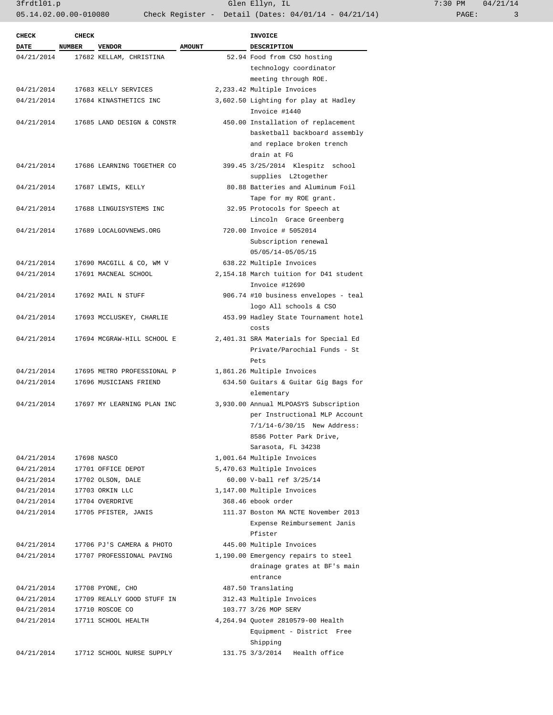| <b>CHECK</b> | <b>CHECK</b> |                            |               | <b>INVOICE</b>                         |
|--------------|--------------|----------------------------|---------------|----------------------------------------|
| <b>DATE</b>  | NUMBER       | <b>VENDOR</b>              | <b>AMOUNT</b> | DESCRIPTION                            |
| 04/21/2014   |              | 17682 KELLAM, CHRISTINA    |               | 52.94 Food from CSO hosting            |
|              |              |                            |               | technology coordinator                 |
|              |              |                            |               | meeting through ROE.                   |
| 04/21/2014   |              | 17683 KELLY SERVICES       |               | 2,233.42 Multiple Invoices             |
| 04/21/2014   |              | 17684 KINASTHETICS INC     |               | 3,602.50 Lighting for play at Hadley   |
|              |              |                            |               | Invoice #1440                          |
| 04/21/2014   |              | 17685 LAND DESIGN & CONSTR |               | 450.00 Installation of replacement     |
|              |              |                            |               | basketball backboard assembly          |
|              |              |                            |               | and replace broken trench              |
|              |              |                            |               | drain at FG                            |
| 04/21/2014   |              | 17686 LEARNING TOGETHER CO |               | 399.45 3/25/2014 Klespitz school       |
|              |              |                            |               | supplies L2together                    |
| 04/21/2014   |              | 17687 LEWIS, KELLY         |               | 80.88 Batteries and Aluminum Foil      |
|              |              |                            |               | Tape for my ROE grant.                 |
| 04/21/2014   |              | 17688 LINGUISYSTEMS INC    |               | 32.95 Protocols for Speech at          |
|              |              |                            |               | Lincoln Grace Greenberg                |
|              |              | 17689 LOCALGOVNEWS.ORG     |               |                                        |
| 04/21/2014   |              |                            |               | 720.00 Invoice # 5052014               |
|              |              |                            |               | Subscription renewal                   |
|              |              |                            |               | $05/05/14 - 05/05/15$                  |
| 04/21/2014   |              | 17690 MACGILL & CO, WM V   |               | 638.22 Multiple Invoices               |
| 04/21/2014   |              | 17691 MACNEAL SCHOOL       |               | 2,154.18 March tuition for D41 student |
|              |              |                            |               | Invoice #12690                         |
| 04/21/2014   |              | 17692 MAIL N STUFF         |               | 906.74 #10 business envelopes - teal   |
|              |              |                            |               | logo All schools & CSO                 |
| 04/21/2014   |              | 17693 MCCLUSKEY, CHARLIE   |               | 453.99 Hadley State Tournament hotel   |
|              |              |                            |               | costs                                  |
| 04/21/2014   |              | 17694 MCGRAW-HILL SCHOOL E |               | 2,401.31 SRA Materials for Special Ed  |
|              |              |                            |               | Private/Parochial Funds - St           |
|              |              |                            |               | Pets                                   |
| 04/21/2014   |              | 17695 METRO PROFESSIONAL P |               | 1,861.26 Multiple Invoices             |
| 04/21/2014   |              | 17696 MUSICIANS FRIEND     |               | 634.50 Guitars & Guitar Gig Bags for   |
|              |              |                            |               | elementary                             |
| 04/21/2014   |              | 17697 MY LEARNING PLAN INC |               | 3,930.00 Annual MLPOASYS Subscription  |
|              |              |                            |               | per Instructional MLP Account          |
|              |              |                            |               | 7/1/14-6/30/15 New Address:            |
|              |              |                            |               | 8586 Potter Park Drive,                |
|              |              |                            |               | Sarasota, FL 34238                     |
| 04/21/2014   |              | 17698 NASCO                |               | 1,001.64 Multiple Invoices             |
| 04/21/2014   |              | 17701 OFFICE DEPOT         |               | 5,470.63 Multiple Invoices             |
| 04/21/2014   |              | 17702 OLSON, DALE          |               | 60.00 V-ball ref 3/25/14               |
| 04/21/2014   |              | 17703 ORKIN LLC            |               | 1,147.00 Multiple Invoices             |
| 04/21/2014   |              | 17704 OVERDRIVE            |               | 368.46 ebook order                     |
| 04/21/2014   |              | 17705 PFISTER, JANIS       |               | 111.37 Boston MA NCTE November 2013    |
|              |              |                            |               | Expense Reimbursement Janis            |
|              |              |                            |               | Pfister                                |
| 04/21/2014   |              | 17706 PJ'S CAMERA & PHOTO  |               | 445.00 Multiple Invoices               |
| 04/21/2014   |              | 17707 PROFESSIONAL PAVING  |               | 1,190.00 Emergency repairs to steel    |
|              |              |                            |               | drainage grates at BF's main           |
|              |              |                            |               | entrance                               |
| 04/21/2014   |              | 17708 PYONE, CHO           |               | 487.50 Translating                     |
| 04/21/2014   |              | 17709 REALLY GOOD STUFF IN |               | 312.43 Multiple Invoices               |
| 04/21/2014   |              | 17710 ROSCOE CO            |               | 103.77 3/26 MOP SERV                   |
| 04/21/2014   |              | 17711 SCHOOL HEALTH        |               | 4,264.94 Quote# 2810579-00 Health      |
|              |              |                            |               | Equipment - District Free              |
|              |              |                            |               | Shipping                               |
| 04/21/2014   |              | 17712 SCHOOL NURSE SUPPLY  |               | 131.75 3/3/2014 Health office          |
|              |              |                            |               |                                        |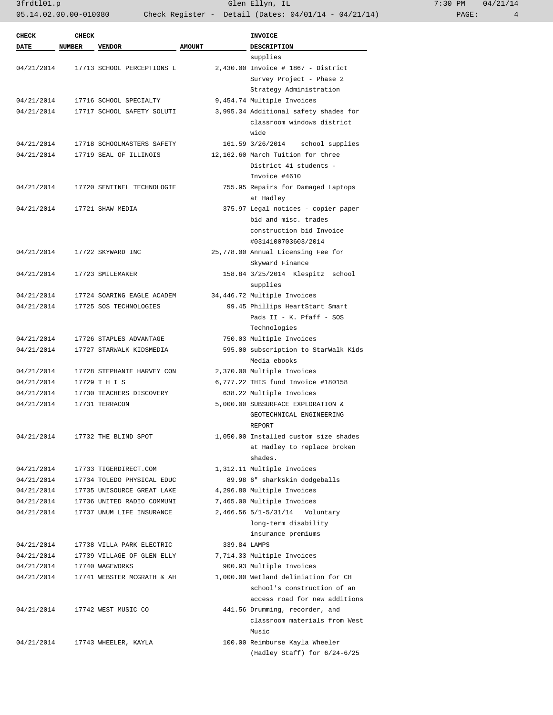3frdtl01.p Glen Ellyn, IL 7:30 PM 04/21/14 05.14.02.00.00-010080 Check Register - Detail (Dates: 04/01/14 - 04/21/14)

| <b>CHECK</b> | <b>CHECK</b> |                            |               | <b>INVOICE</b>                        |
|--------------|--------------|----------------------------|---------------|---------------------------------------|
| <b>DATE</b>  | NUMBER       | <b>VENDOR</b>              | <b>AMOUNT</b> | <b>DESCRIPTION</b>                    |
|              |              |                            |               | supplies                              |
| 04/21/2014   |              | 17713 SCHOOL PERCEPTIONS L |               | 2,430.00 Invoice # 1867 - District    |
|              |              |                            |               | Survey Project - Phase 2              |
|              |              |                            |               | Strategy Administration               |
| 04/21/2014   |              | 17716 SCHOOL SPECIALTY     |               | 9,454.74 Multiple Invoices            |
| 04/21/2014   |              | 17717 SCHOOL SAFETY SOLUTI |               | 3,995.34 Additional safety shades for |
|              |              |                            |               | classroom windows district<br>wide    |
| 04/21/2014   |              | 17718 SCHOOLMASTERS SAFETY |               | 161.59 3/26/2014<br>school supplies   |
| 04/21/2014   |              | 17719 SEAL OF ILLINOIS     |               | 12,162.60 March Tuition for three     |
|              |              |                            |               | District 41 students -                |
|              |              |                            |               | Invoice #4610                         |
| 04/21/2014   |              | 17720 SENTINEL TECHNOLOGIE |               | 755.95 Repairs for Damaged Laptops    |
|              |              |                            |               | at Hadley                             |
| 04/21/2014   |              | 17721 SHAW MEDIA           |               | 375.97 Legal notices - copier paper   |
|              |              |                            |               | bid and misc. trades                  |
|              |              |                            |               | construction bid Invoice              |
|              |              |                            |               | #0314100703603/2014                   |
| 04/21/2014   |              | 17722 SKYWARD INC          |               | 25,778.00 Annual Licensing Fee for    |
|              |              |                            |               | Skyward Finance                       |
| 04/21/2014   |              | 17723 SMILEMAKER           |               | 158.84 3/25/2014 Klespitz school      |
|              |              |                            |               | supplies                              |
| 04/21/2014   |              | 17724 SOARING EAGLE ACADEM |               | 34,446.72 Multiple Invoices           |
| 04/21/2014   |              | 17725 SOS TECHNOLOGIES     |               | 99.45 Phillips HeartStart Smart       |
|              |              |                            |               | Pads II - K. Pfaff - SOS              |
|              |              |                            |               | Technologies                          |
| 04/21/2014   |              | 17726 STAPLES ADVANTAGE    |               | 750.03 Multiple Invoices              |
| 04/21/2014   |              | 17727 STARWALK KIDSMEDIA   |               | 595.00 subscription to StarWalk Kids  |
|              |              |                            |               | Media ebooks                          |
| 04/21/2014   |              | 17728 STEPHANIE HARVEY CON |               | 2,370.00 Multiple Invoices            |
| 04/21/2014   |              | 17729 T H I S              |               | 6,777.22 THIS fund Invoice #180158    |
| 04/21/2014   |              | 17730 TEACHERS DISCOVERY   |               | 638.22 Multiple Invoices              |
| 04/21/2014   |              | 17731 TERRACON             |               | 5,000.00 SUBSURFACE EXPLORATION &     |
|              |              |                            |               | GEOTECHNICAL ENGINEERING              |
|              |              |                            |               | REPORT                                |
|              |              |                            |               |                                       |
| 04/21/2014   |              | 17732 THE BLIND SPOT       |               | 1,050.00 Installed custom size shades |
|              |              |                            |               | at Hadley to replace broken           |
|              |              |                            |               | shades.                               |
| 04/21/2014   |              | 17733 TIGERDIRECT.COM      |               | 1,312.11 Multiple Invoices            |
| 04/21/2014   |              | 17734 TOLEDO PHYSICAL EDUC |               | 89.98 6" sharkskin dodgeballs         |
| 04/21/2014   |              | 17735 UNISOURCE GREAT LAKE |               | 4,296.80 Multiple Invoices            |
| 04/21/2014   |              | 17736 UNITED RADIO COMMUNI |               | 7,465.00 Multiple Invoices            |
| 04/21/2014   |              | 17737 UNUM LIFE INSURANCE  |               | 2,466.56 5/1-5/31/14 Voluntary        |
|              |              |                            |               | long-term disability                  |
|              |              |                            |               | insurance premiums                    |
| 04/21/2014   |              | 17738 VILLA PARK ELECTRIC  | 339.84 LAMPS  |                                       |
| 04/21/2014   |              | 17739 VILLAGE OF GLEN ELLY |               | 7,714.33 Multiple Invoices            |
| 04/21/2014   |              | 17740 WAGEWORKS            |               | 900.93 Multiple Invoices              |
| 04/21/2014   |              | 17741 WEBSTER MCGRATH & AH |               | 1,000.00 Wetland deliniation for CH   |
|              |              |                            |               | school's construction of an           |
|              |              |                            |               | access road for new additions         |
| 04/21/2014   |              | 17742 WEST MUSIC CO        |               | 441.56 Drumming, recorder, and        |
|              |              |                            |               | classroom materials from West         |
|              |              |                            |               | Music                                 |
| 04/21/2014   |              | 17743 WHEELER, KAYLA       |               | 100.00 Reimburse Kayla Wheeler        |
|              |              |                            |               | (Hadley Staff) for 6/24-6/25          |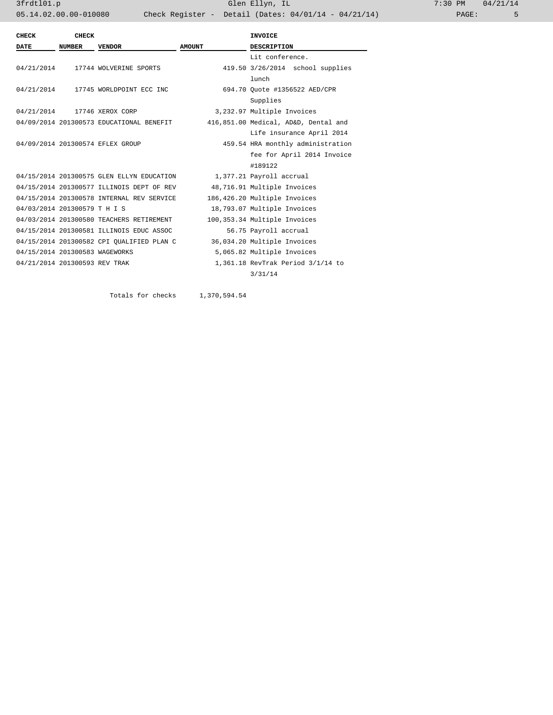3frdtl01.p Glen Ellyn, IL 7:30 PM 04/21/14 05.14.02.00.00-010080 Check Register - Detail (Dates: 04/01/14 - 04/21/14)

| CHECK                          | <b>CHECK</b>  |                                           |               | <b>INVOICE</b>                       |
|--------------------------------|---------------|-------------------------------------------|---------------|--------------------------------------|
| DATE                           | <b>NUMBER</b> | <b>VENDOR</b>                             | <b>AMOUNT</b> | <b>DESCRIPTION</b>                   |
|                                |               |                                           |               | Lit conference.                      |
|                                |               | 04/21/2014 17744 WOLVERINE SPORTS         |               | 419.50 3/26/2014 school supplies     |
|                                |               |                                           |               | lunch                                |
|                                |               | 04/21/2014 17745 WORLDPOINT ECC INC       |               | 694.70 Ouote #1356522 AED/CPR        |
|                                |               |                                           |               | Supplies                             |
|                                |               | 04/21/2014 17746 XEROX CORP               |               | 3,232.97 Multiple Invoices           |
|                                |               | 04/09/2014 201300573 EDUCATIONAL BENEFIT  |               | 416,851.00 Medical, AD&D, Dental and |
|                                |               |                                           |               | Life insurance April 2014            |
|                                |               | 04/09/2014 201300574 EFLEX GROUP          |               | 459.54 HRA monthly administration    |
|                                |               |                                           |               | fee for April 2014 Invoice           |
|                                |               |                                           |               | #189122                              |
|                                |               | 04/15/2014 201300575 GLEN ELLYN EDUCATION |               | 1,377.21 Payroll accrual             |
|                                |               | 04/15/2014 201300577 ILLINOIS DEPT OF REV |               | 48,716.91 Multiple Invoices          |
|                                |               | 04/15/2014 201300578 INTERNAL REV SERVICE |               | 186,426.20 Multiple Invoices         |
| 04/03/2014 201300579 T H I S   |               |                                           |               | 18,793.07 Multiple Invoices          |
|                                |               | 04/03/2014 201300580 TEACHERS RETIREMENT  |               | 100,353.34 Multiple Invoices         |
|                                |               | 04/15/2014 201300581 ILLINOIS EDUC ASSOC  |               | 56.75 Payroll accrual                |
|                                |               | 04/15/2014 201300582 CPI QUALIFIED PLAN C |               | 36,034.20 Multiple Invoices          |
| 04/15/2014 201300583 WAGEWORKS |               |                                           |               | 5,065.82 Multiple Invoices           |
| 04/21/2014 201300593 REV TRAK  |               |                                           |               | 1,361.18 RevTrak Period 3/1/14 to    |
|                                |               |                                           |               | 3/31/14                              |
|                                |               |                                           |               |                                      |

Totals for checks 1,370,594.54